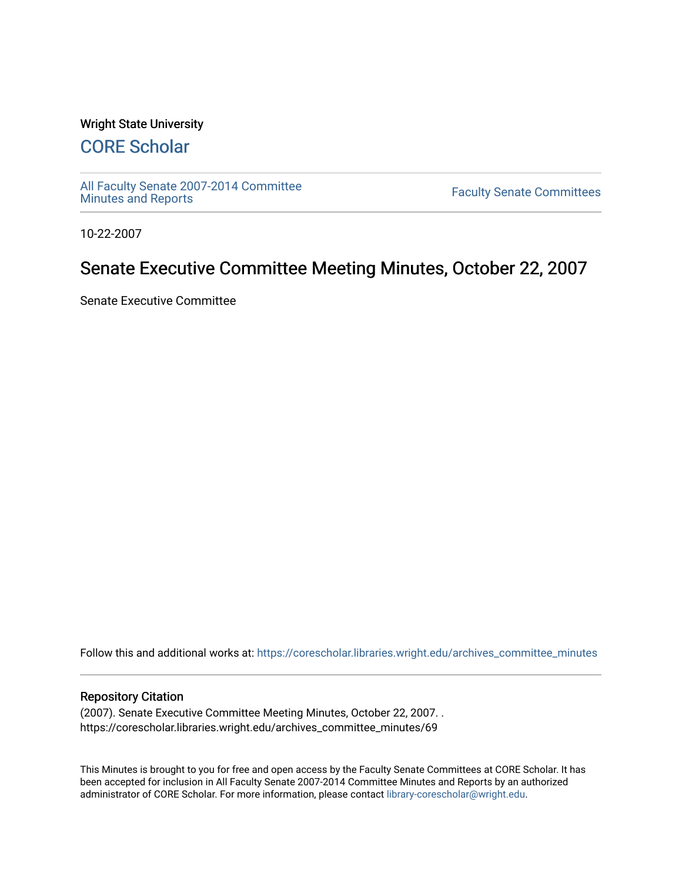#### Wright State University

# [CORE Scholar](https://corescholar.libraries.wright.edu/)

[All Faculty Senate 2007-2014 Committee](https://corescholar.libraries.wright.edu/archives_committee_minutes)

**Faculty Senate Committees** 

10-22-2007

# Senate Executive Committee Meeting Minutes, October 22, 2007

Senate Executive Committee

Follow this and additional works at: [https://corescholar.libraries.wright.edu/archives\\_committee\\_minutes](https://corescholar.libraries.wright.edu/archives_committee_minutes?utm_source=corescholar.libraries.wright.edu%2Farchives_committee_minutes%2F69&utm_medium=PDF&utm_campaign=PDFCoverPages) 

#### Repository Citation

(2007). Senate Executive Committee Meeting Minutes, October 22, 2007. . https://corescholar.libraries.wright.edu/archives\_committee\_minutes/69

This Minutes is brought to you for free and open access by the Faculty Senate Committees at CORE Scholar. It has been accepted for inclusion in All Faculty Senate 2007-2014 Committee Minutes and Reports by an authorized administrator of CORE Scholar. For more information, please contact [library-corescholar@wright.edu.](mailto:library-corescholar@wright.edu)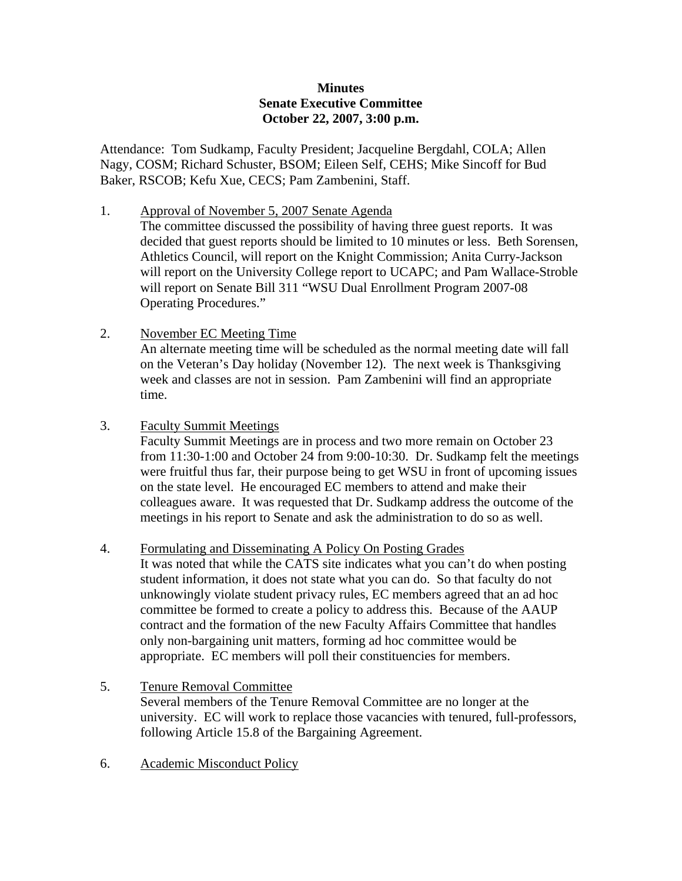### **Minutes Senate Executive Committee October 22, 2007, 3:00 p.m.**

Attendance: Tom Sudkamp, Faculty President; Jacqueline Bergdahl, COLA; Allen Nagy, COSM; Richard Schuster, BSOM; Eileen Self, CEHS; Mike Sincoff for Bud Baker, RSCOB; Kefu Xue, CECS; Pam Zambenini, Staff.

1. Approval of November 5, 2007 Senate Agenda

 The committee discussed the possibility of having three guest reports. It was decided that guest reports should be limited to 10 minutes or less. Beth Sorensen, Athletics Council, will report on the Knight Commission; Anita Curry-Jackson will report on the University College report to UCAPC; and Pam Wallace-Stroble will report on Senate Bill 311 "WSU Dual Enrollment Program 2007-08 Operating Procedures."

2. November EC Meeting Time

 An alternate meeting time will be scheduled as the normal meeting date will fall on the Veteran's Day holiday (November 12). The next week is Thanksgiving week and classes are not in session. Pam Zambenini will find an appropriate time.

3. Faculty Summit Meetings

 Faculty Summit Meetings are in process and two more remain on October 23 from 11:30-1:00 and October 24 from 9:00-10:30. Dr. Sudkamp felt the meetings were fruitful thus far, their purpose being to get WSU in front of upcoming issues on the state level. He encouraged EC members to attend and make their colleagues aware. It was requested that Dr. Sudkamp address the outcome of the meetings in his report to Senate and ask the administration to do so as well.

4. Formulating and Disseminating A Policy On Posting Grades

 It was noted that while the CATS site indicates what you can't do when posting student information, it does not state what you can do. So that faculty do not unknowingly violate student privacy rules, EC members agreed that an ad hoc committee be formed to create a policy to address this. Because of the AAUP contract and the formation of the new Faculty Affairs Committee that handles only non-bargaining unit matters, forming ad hoc committee would be appropriate. EC members will poll their constituencies for members.

- 5. Tenure Removal Committee Several members of the Tenure Removal Committee are no longer at the university. EC will work to replace those vacancies with tenured, full-professors, following Article 15.8 of the Bargaining Agreement.
- 6. Academic Misconduct Policy